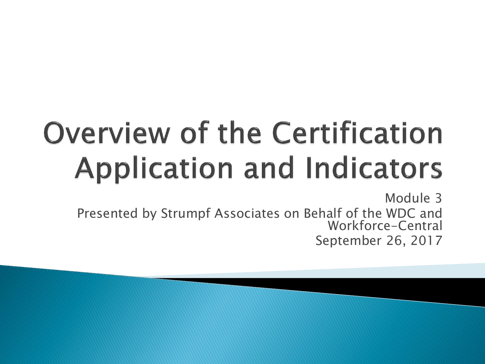# **Overview of the Certification Application and Indicators**

Module 3 Presented by Strumpf Associates on Behalf of the WDC and Workforce-Central September 26, 2017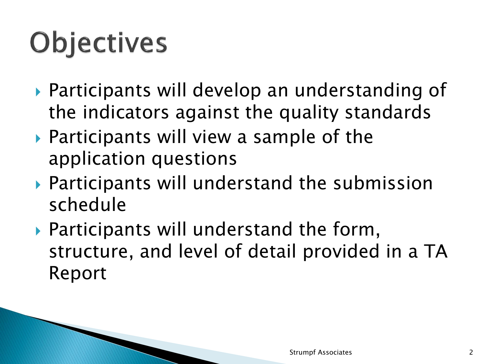## **Objectives**

- Participants will develop an understanding of the indicators against the quality standards
- ▶ Participants will view a sample of the application questions
- Participants will understand the submission schedule
- Participants will understand the form, structure, and level of detail provided in a TA Report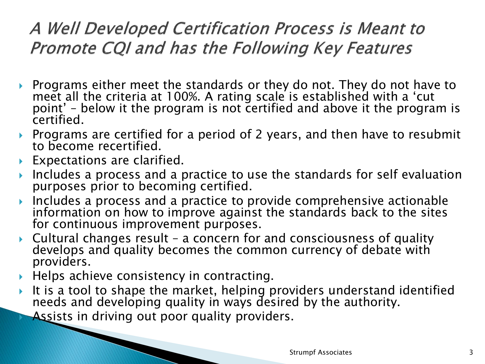#### A Well Developed Certification Process is Meant to Promote CQI and has the Following Key Features

- Programs either meet the standards or they do not. They do not have to meet all the criteria at 100%. A rating scale is established with a 'cut point' – below it the program is not certified and above it the program is certified.
- ▶ Programs are certified for a period of 2 years, and then have to resubmit to become recertified.
- ▶ Expectations are clarified.
- Includes a process and a practice to use the standards for self evaluation purposes prior to becoming certified.
- Includes a process and a practice to provide comprehensive actionable information on how to improve against the standards back to the sites for continuous improvement purposes.
- Cultural changes result a concern for and consciousness of quality develops and quality becomes the common currency of debate with providers.
- $\blacktriangleright$  Helps achieve consistency in contracting.
- It is a tool to shape the market, helping providers understand identified needs and developing quality in ways desired by the authority.
	- Assists in driving out poor quality providers.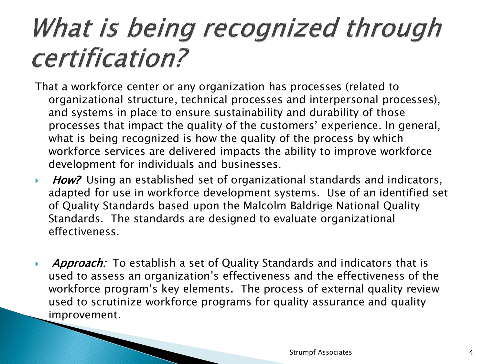### What is being recognized through certification?

- That a workforce center or any organization has processes (related to organizational structure, technical processes and interpersonal processes), and systems in place to ensure sustainability and durability of those processes that impact the quality of the customers' experience. In general, what is being recognized is how the quality of the process by which workforce services are delivered impacts the ability to improve workforce development for individuals and businesses.
- ▶ How? Using an established set of organizational standards and indicators, adapted for use in workforce development systems. Use of an identified set of Quality Standards based upon the Malcolm Baldrige National Quality Standards. The standards are designed to evaluate organizational effectiveness.
- **Approach:** To establish a set of Quality Standards and indicators that is used to assess an organization's effectiveness and the effectiveness of the workforce program's key elements. The process of external quality review used to scrutinize workforce programs for quality assurance and quality improvement.

**The Common Seconds**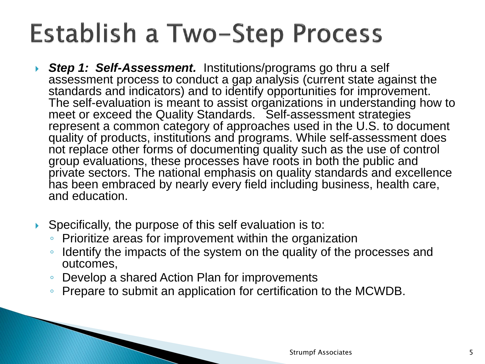### Establish a Two-Step Process

- **Step 1: Self-Assessment.** Institutions/programs go thru a self assessment process to conduct a gap analysis (current state against the standards and indicators) and to identify opportunities for improvement. The self-evaluation is meant to assist organizations in understanding how to meet or exceed the Quality Standards. Self-assessment strategies represent a common category of approaches used in the U.S. to document quality of products, institutions and programs. While self-assessment does not replace other forms of documenting quality such as the use of control group evaluations, these processes have roots in both the public and private sectors. The national emphasis on quality standards and excellence has been embraced by nearly every field including business, health care, and education.
- Specifically, the purpose of this self evaluation is to:
	- Prioritize areas for improvement within the organization
	- Identify the impacts of the system on the quality of the processes and outcomes,
	- Develop a shared Action Plan for improvements
	- Prepare to submit an application for certification to the MCWDB.